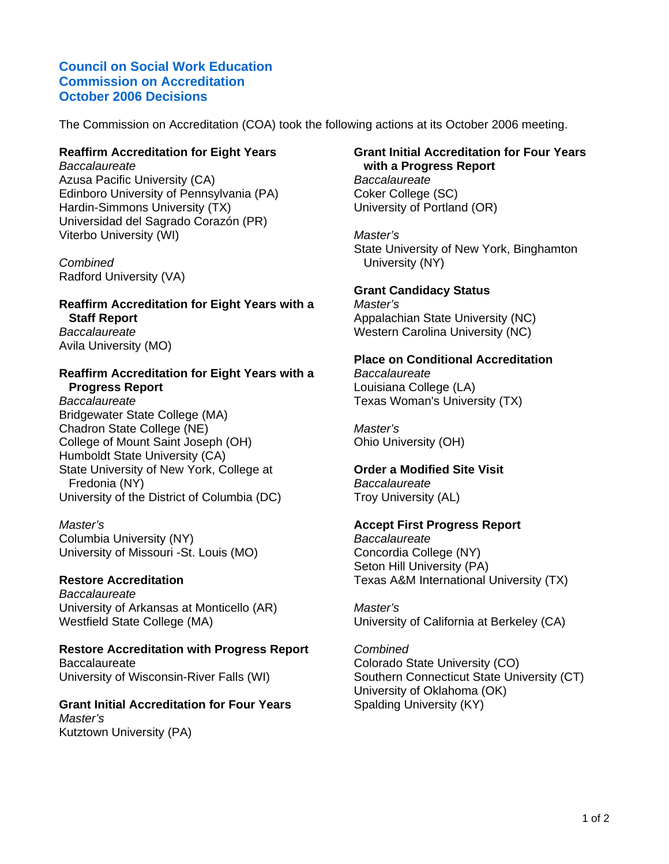# **Council on Social Work Education Commission on Accreditation October 2006 Decisions**

The Commission on Accreditation (COA) took the following actions at its October 2006 meeting.

## **Reaffirm Accreditation for Eight Years**

*Baccalaureate* Azusa Pacific University (CA) Edinboro University of Pennsylvania (PA) Hardin-Simmons University (TX) Universidad del Sagrado Corazón (PR) Viterbo University (WI)

*Combined* Radford University (VA)

### **Reaffirm Accreditation for Eight Years with a Staff Report** *Baccalaureate*

Avila University (MO)

### **Reaffirm Accreditation for Eight Years with a Progress Report**

*Baccalaureate* Bridgewater State College (MA) Chadron State College (NE) College of Mount Saint Joseph (OH) Humboldt State University (CA) State University of New York, College at Fredonia (NY) University of the District of Columbia (DC)

*Master's* Columbia University (NY) University of Missouri -St. Louis (MO)

## **Restore Accreditation**

*Baccalaureate* University of Arkansas at Monticello (AR) Westfield State College (MA)

### **Restore Accreditation with Progress Report Baccalaureate** University of Wisconsin-River Falls (WI)

**Grant Initial Accreditation for Four Years** *Master's* Kutztown University (PA)

## **Grant Initial Accreditation for Four Years with a Progress Report**

*Baccalaureate* Coker College (SC) University of Portland (OR)

*Master's* State University of New York, Binghamton University (NY)

# **Grant Candidacy Status**

*Master's* Appalachian State University (NC) Western Carolina University (NC)

# **Place on Conditional Accreditation**

*Baccalaureate* Louisiana College (LA) Texas Woman's University (TX)

*Master's* Ohio University (OH)

#### **Order a Modified Site Visit** *Baccalaureate*

Troy University (AL)

## **Accept First Progress Report**

*Baccalaureate* Concordia College (NY) Seton Hill University (PA) Texas A&M International University (TX)

*Master's* University of California at Berkeley (CA)

*Combined* Colorado State University (CO) Southern Connecticut State University (CT) University of Oklahoma (OK) Spalding University (KY)